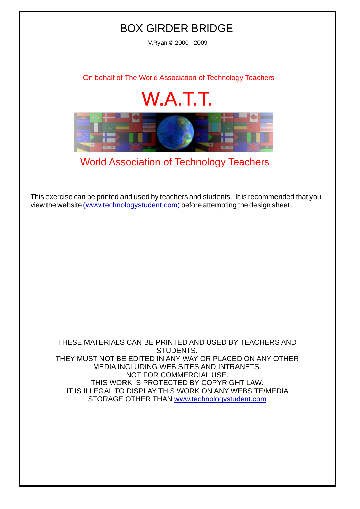## BOX GIRDER BRIDGE

V.Ryan © 2000 - 2009

[On behalf of The World Association of Technology Teachers](http://www.technologystudent.com)

## W.A.T.T.



[World Association of Technology Teachers](http://www.technologystudent.com)

[This exercise can be printed and used by teachers and students. It is recommended that you](http://www.technologystudent.com/designpro/drawdex.htm) view the website [\(www.technologystudent.com\)](http://www.technologystudent.com) before attempting the design sheet .

THESE MATERIALS CAN BE PRINTED AND USED BY TEACHERS AND STUDENTS. THEY MUST NOT BE EDITED IN ANY WAY OR PLACED ON ANY OTHER MEDIA INCLUDING WEB SITES AND INTRANETS. NOT FOR COMMERCIAL USE. THIS WORK IS PROTECTED BY COPYRIGHT LAW. IT IS ILLEGAL TO DISPLAY THIS WORK ON ANY WEBSITE/MEDIA STORAGE OTHER THAN [www.technologystudent.com](http://www.technologystudent.com)